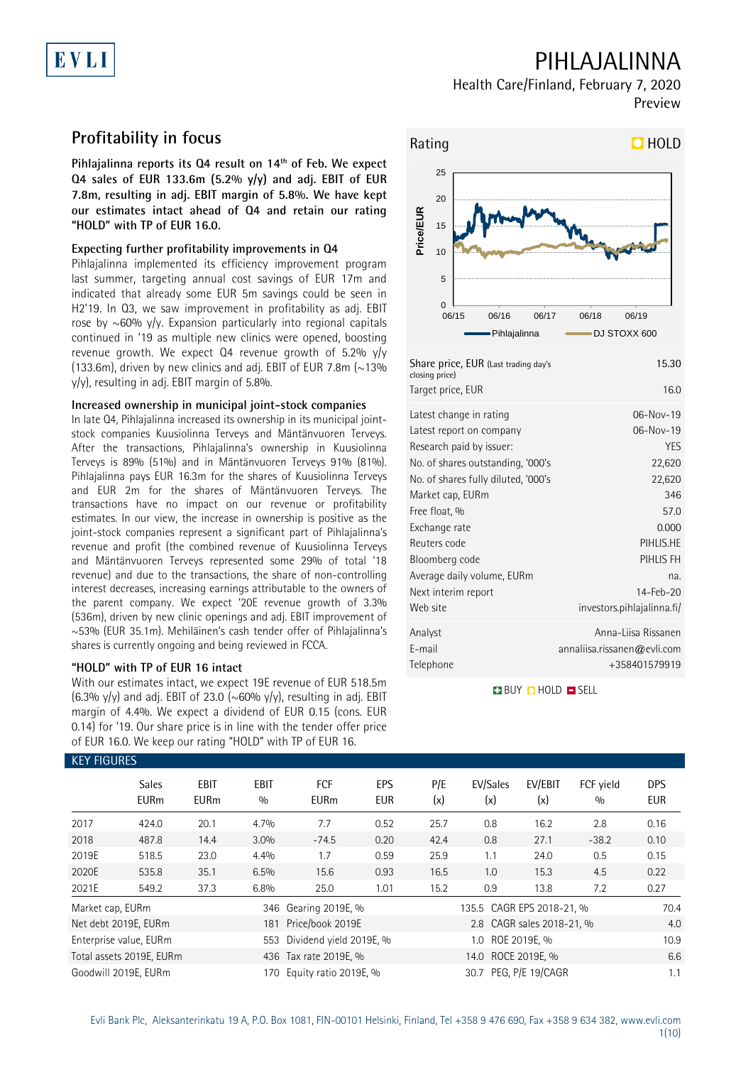# EVLI

## PIHLAJALINNA

Health Care/Finland, February 7, 2020 Preview

## **Profitability in focus**

**Pihlajalinna reports its Q4 result on 14th of Feb. We expect Q4 sales of EUR 133.6m (5.2% y/y) and adj. EBIT of EUR 7.8m, resulting in adj. EBIT margin of 5.8%. We have kept our estimates intact ahead of Q4 and retain our rating "HOLD" with TP of EUR 16.0.** 

### **Expecting further profitability improvements in Q4**

Pihlajalinna implemented its efficiency improvement program last summer, targeting annual cost savings of EUR 17m and indicated that already some EUR 5m savings could be seen in H2'19. In Q3, we saw improvement in profitability as adj. EBIT rose by  $\sim$  60% y/y. Expansion particularly into regional capitals continued in '19 as multiple new clinics were opened, boosting revenue growth. We expect Q4 revenue growth of 5.2% y/y (133.6m), driven by new clinics and adj. EBIT of EUR 7.8m  $\sim$  13% y/y), resulting in adj. EBIT margin of 5.8%.

### **Increased ownership in municipal joint-stock companies**

In late Q4, Pihlajalinna increased its ownership in its municipal jointstock companies Kuusiolinna Terveys and Mäntänvuoren Terveys. After the transactions, Pihlajalinna's ownership in Kuusiolinna Terveys is 89% (51%) and in Mäntänvuoren Terveys 91% (81%). Pihlajalinna pays EUR 16.3m for the shares of Kuusiolinna Terveys and EUR 2m for the shares of Mäntänvuoren Terveys. The transactions have no impact on our revenue or profitability estimates. In our view, the increase in ownership is positive as the joint-stock companies represent a significant part of Pihlajalinna's revenue and profit (the combined revenue of Kuusiolinna Terveys and Mäntänvuoren Terveys represented some 29% of total '18 revenue) and due to the transactions, the share of non-controlling interest decreases, increasing earnings attributable to the owners of the parent company. We expect '20E revenue growth of 3.3% (536m), driven by new clinic openings and adj. EBIT improvement of ~53% (EUR 35.1m). Mehiläinen's cash tender offer of Pihlajalinna's shares is currently ongoing and being reviewed in FCCA.

### **"HOLD" with TP of EUR 16 intact**

With our estimates intact, we expect 19E revenue of EUR 518.5m (6.3% y/y) and adj. EBIT of 23.0 (~60% y/y), resulting in adj. EBIT margin of 4.4%. We expect a dividend of EUR 0.15 (cons. EUR 0.14) for '19. Our share price is in line with the tender offer price of EUR 16.0. We keep our rating "HOLD" with TP of EUR 16.



| Share price, EUR (Last trading day's<br>closing price) | 15.30                       |
|--------------------------------------------------------|-----------------------------|
| Target price, EUR                                      | 16.0                        |
| Latest change in rating                                | 06-Nov-19                   |
| Latest report on company                               | 06-Nov-19                   |
| Research paid by issuer:                               | <b>YES</b>                  |
| No. of shares outstanding, '000's                      | 22,620                      |
| No. of shares fully diluted, '000's                    | 22,620                      |
| Market cap, EURm                                       | 346                         |
| Free float, %                                          | 57.0                        |
| Exchange rate                                          | 0.000                       |
| Reuters code                                           | PIHLIS.HE                   |
| Bloomberg code                                         | PIHLIS FH                   |
| Average daily volume, EURm                             | na.                         |
| Next interim report                                    | $14 - Feb - 20$             |
| Web site                                               | investors.pihlajalinna.fi/  |
| Analyst                                                | Anna-Liisa Rissanen         |
| E-mail                                                 | annaliisa.rissanen@evli.com |
| Telephone                                              | +358401579919               |

**BUY DHOLD SELL** 

| <b>KEY FIGURES</b> |                             |                            |                    |                           |                          |            |                           |                  |                  |                          |
|--------------------|-----------------------------|----------------------------|--------------------|---------------------------|--------------------------|------------|---------------------------|------------------|------------------|--------------------------|
|                    | <b>Sales</b><br><b>EURm</b> | <b>EBIT</b><br><b>EURm</b> | <b>EBIT</b><br>0/0 | <b>FCF</b><br><b>EURm</b> | <b>EPS</b><br><b>EUR</b> | P/E<br>(x) | EV/Sales<br>(x)           | EV/EBIT<br>(x)   | FCF yield<br>0/0 | <b>DPS</b><br><b>EUR</b> |
| 2017               | 424.0                       | 20.1                       | 4.7%               | 7.7                       | 0.52                     | 25.7       | 0.8                       | 16.2             | 2.8              | 0.16                     |
| 2018               | 487.8                       | 14.4                       | 3.0%               | $-74.5$                   | 0.20                     | 42.4       | 0.8                       | 27.1             | $-38.2$          | 0.10                     |
| 2019E              | 518.5                       | 23.0                       | 4.4%               | 1.7                       | 0.59                     | 25.9       | 1.1                       | 24.0             | 0.5              | 0.15                     |
| 2020E              | 535.8                       | 35.1                       | 6.5%               | 15.6                      | 0.93                     | 16.5       | 1.0                       | 15.3             | 4.5              | 0.22                     |
| 2021E              | 549.2                       | 37.3                       | 6.8%               | 25.0                      | 1.01                     | 15.2       | 0.9                       | 13.8             | 7.2              | 0.27                     |
| Market cap, EURm   |                             |                            |                    | 346 Gearing 2019E, %      |                          |            | 135.5 CAGR EPS 2018-21, % | 70.4             |                  |                          |
|                    | Net debt 2019E, EURm        |                            |                    | 181 Price/book 2019E      |                          |            | 2.8 CAGR sales 2018-21, % | 4.0              |                  |                          |
|                    | Enterprise value, EURm      |                            | 553                | Dividend yield 2019E, %   |                          |            |                           | 10.9             |                  |                          |
|                    | Total assets 2019E, EURm    |                            |                    | 436 Tax rate 2019E, %     |                          |            | 14.0 ROCE 2019E, %        |                  |                  | 6.6                      |
|                    | Goodwill 2019E. EURm        |                            | 170.               | Equity ratio 2019E, %     |                          |            | 30.7                      | PEG, P/E 19/CAGR |                  | 1.1                      |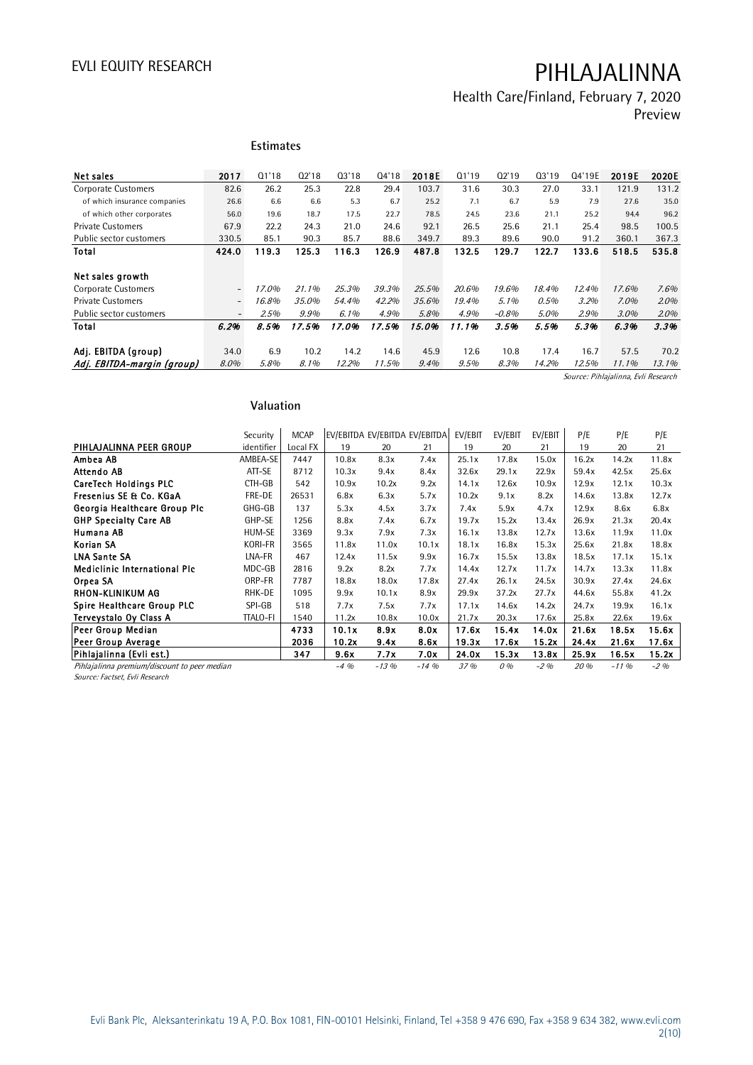Health Care/Finland, February 7, 2020 Preview

|                              |                          | <b>Estimates</b> |       |         |       |       |       |         |       |        |         |         |
|------------------------------|--------------------------|------------------|-------|---------|-------|-------|-------|---------|-------|--------|---------|---------|
| Net sales                    | 2017                     | 01'18            | Q2'18 | Q3'18   | 04'18 | 2018E | Q1'19 | 02'19   | Q3'19 | Q4'19E | 2019E   | 2020E   |
| <b>Corporate Customers</b>   | 82.6                     | 26.2             | 25.3  | 22.8    | 29.4  | 103.7 | 31.6  | 30.3    | 27.0  | 33.1   | 121.9   | 131.2   |
| of which insurance companies | 26.6                     | 6.6              | 6.6   | 5.3     | 6.7   | 25.2  | 7.1   | 6.7     | 5.9   | 7.9    | 27.6    | 35.0    |
| of which other corporates    | 56.0                     | 19.6             | 18.7  | 17.5    | 22.7  | 78.5  | 24.5  | 23.6    | 21.1  | 25.2   | 94.4    | 96.2    |
| <b>Private Customers</b>     | 67.9                     | 22.2             | 24.3  | 21.0    | 24.6  | 92.1  | 26.5  | 25.6    | 21.1  | 25.4   | 98.5    | 100.5   |
| Public sector customers      | 330.5                    | 85.1             | 90.3  | 85.7    | 88.6  | 349.7 | 89.3  | 89.6    | 90.0  | 91.2   | 360.1   | 367.3   |
| Total                        | 424.0                    | 119.3            | 125.3 | 116.3   | 126.9 | 487.8 | 132.5 | 129.7   | 122.7 | 133.6  | 518.5   | 535.8   |
| Net sales growth             |                          |                  |       |         |       |       |       |         |       |        |         |         |
| Corporate Customers          | $\overline{\phantom{a}}$ | 17.0%            | 21.1% | 25.3%   | 39.3% | 25.5% | 20.6% | 19.6%   | 18.4% | 12.4%  | 17.6%   | 7.6%    |
| <b>Private Customers</b>     | $\overline{\phantom{a}}$ | 16.8%            | 35.0% | 54.4%   | 42.2% | 35.6% | 19.4% | 5.1%    | 0.5%  | 3.2%   | $7.0\%$ | $2.0\%$ |
| Public sector customers      | $\overline{\phantom{0}}$ | 2.5%             | 9.9%  | $6.1\%$ | 4.9%  | 5.8%  | 4.9%  | $-0.8%$ | 5.0%  | 2.9%   | $3.0\%$ | 2.0%    |
| Total                        | 6.2%                     | 8.5%             | 17.5% | 17.0%   | 17.5% | 15.0% | 11.1% | 3.5%    | 5.5%  | 5.3%   | 6.3%    | 3.3%    |
| Adj. EBITDA (group)          | 34.0                     | 6.9              | 10.2  | 14.2    | 14.6  | 45.9  | 12.6  | 10.8    | 17.4  | 16.7   | 57.5    | 70.2    |
| Adj. EBITDA-margin (group)   | 8.0%                     | 5.8%             | 8.1%  | 12.2%   | 11.5% | 9.4%  | 9.5%  | 8.3%    | 14.2% | 12.5%  | 11.1%   | 13.1%   |

Source: Pihlajalinna, Evli Research

### **Valuation**

|                                                                                | Valuation       |             |         |        |                               |         |         |         |       |          |        |
|--------------------------------------------------------------------------------|-----------------|-------------|---------|--------|-------------------------------|---------|---------|---------|-------|----------|--------|
|                                                                                | Security        | <b>MCAP</b> |         |        | EV/EBITDA EV/EBITDA EV/EBITDA | EV/EBIT | EV/EBIT | EV/EBIT | P/E   | P/E      | P/E    |
| PIHLAJALINNA PEER GROUP                                                        | identifier      | Local FX    | 19      | 20     | 21                            | 19      | 20      | 21      | 19    | 20       | 21     |
| Ambea AB                                                                       | AMBEA-SE        | 7447        | 10.8x   | 8.3x   | 7.4x                          | 25.1x   | 17.8x   | 15.0x   | 16.2x | 14.2x    | 11.8x  |
| Attendo AB                                                                     | ATT-SE          | 8712        | 10.3x   | 9.4x   | 8.4x                          | 32.6x   | 29.1x   | 22.9x   | 59.4x | 42.5x    | 25.6x  |
| <b>CareTech Holdings PLC</b>                                                   | CTH-GB          | 542         | 10.9x   | 10.2x  | 9.2x                          | 14.1x   | 12.6x   | 10.9x   | 12.9x | 12.1x    | 10.3x  |
| Fresenius SE & Co. KGaA                                                        | FRE-DE          | 26531       | 6.8x    | 6.3x   | 5.7x                          | 10.2x   | 9.1x    | 8.2x    | 14.6x | 13.8x    | 12.7x  |
| Georgia Healthcare Group Plc                                                   | GHG-GB          | 137         | 5.3x    | 4.5x   | 3.7x                          | 7.4x    | 5.9x    | 4.7x    | 12.9x | 8.6x     | 6.8x   |
| <b>GHP Specialty Care AB</b>                                                   | GHP-SE          | 1256        | 8.8x    | 7.4x   | 6.7x                          | 19.7x   | 15.2x   | 13.4x   | 26.9x | 21.3x    | 20.4x  |
| Humana AB                                                                      | HUM-SE          | 3369        | 9.3x    | 7.9x   | 7.3x                          | 16.1x   | 13.8x   | 12.7x   | 13.6x | 11.9x    | 11.0x  |
| Korian SA                                                                      | KORI-FR         | 3565        | 11.8x   | 11.0x  | 10.1x                         | 18.1x   | 16.8x   | 15.3x   | 25.6x | 21.8x    | 18.8x  |
| <b>LNA Sante SA</b>                                                            | LNA-FR          | 467         | 12.4x   | 11.5x  | 9.9x                          | 16.7x   | 15.5x   | 13.8x   | 18.5x | 17.1x    | 15.1x  |
| <b>Mediclinic International Plc</b>                                            | MDC-GB          | 2816        | 9.2x    | 8.2x   | 7.7x                          | 14.4x   | 12.7x   | 11.7x   | 14.7x | 13.3x    | 11.8x  |
| Orpea SA                                                                       | ORP-FR          | 7787        | 18.8x   | 18.0x  | 17.8x                         | 27.4x   | 26.1x   | 24.5x   | 30.9x | 27.4x    | 24.6x  |
| <b>RHON-KLINIKUM AG</b>                                                        | RHK-DE          | 1095        | 9.9x    | 10.1x  | 8.9x                          | 29.9x   | 37.2x   | 27.7x   | 44.6x | 55.8x    | 41.2x  |
| <b>Spire Healthcare Group PLC</b>                                              | SPI-GB          | 518         | 7.7x    | 7.5x   | 7.7x                          | 17.1x   | 14.6x   | 14.2x   | 24.7x | 19.9x    | 16.1x  |
| Terveystalo Oy Class A                                                         | <b>TTALO-FI</b> | 1540        | 11.2x   | 10.8x  | 10.0x                         | 21.7x   | 20.3x   | 17.6x   | 25.8x | 22.6x    | 19.6x  |
| Peer Group Median                                                              |                 | 4733        | 10.1x   | 8.9x   | 8.0x                          | 17.6x   | 15.4x   | 14.0x   | 21.6x | 18.5x    | 15.6x  |
| Peer Group Average                                                             |                 | 2036        | 10.2x   | 9.4x   | 8.6x                          | 19.3x   | 17.6x   | 15.2x   | 24.4x | 21.6x    | 17.6x  |
| Pihlajalinna (Evli est.)                                                       |                 | 347         | 9.6x    | 7.7x   | 7.0x                          | 24.0x   | 15.3x   | 13.8x   | 25.9x | 16.5x    | 15.2x  |
| Pihlajalinna premium/discount to peer median<br>Source: Factset, Evli Research |                 |             | $-4.96$ | $-13%$ | $-14.96$                      | 37 %    | 0%      | $-2\%$  | 20 %  | $-11.96$ | $-2\%$ |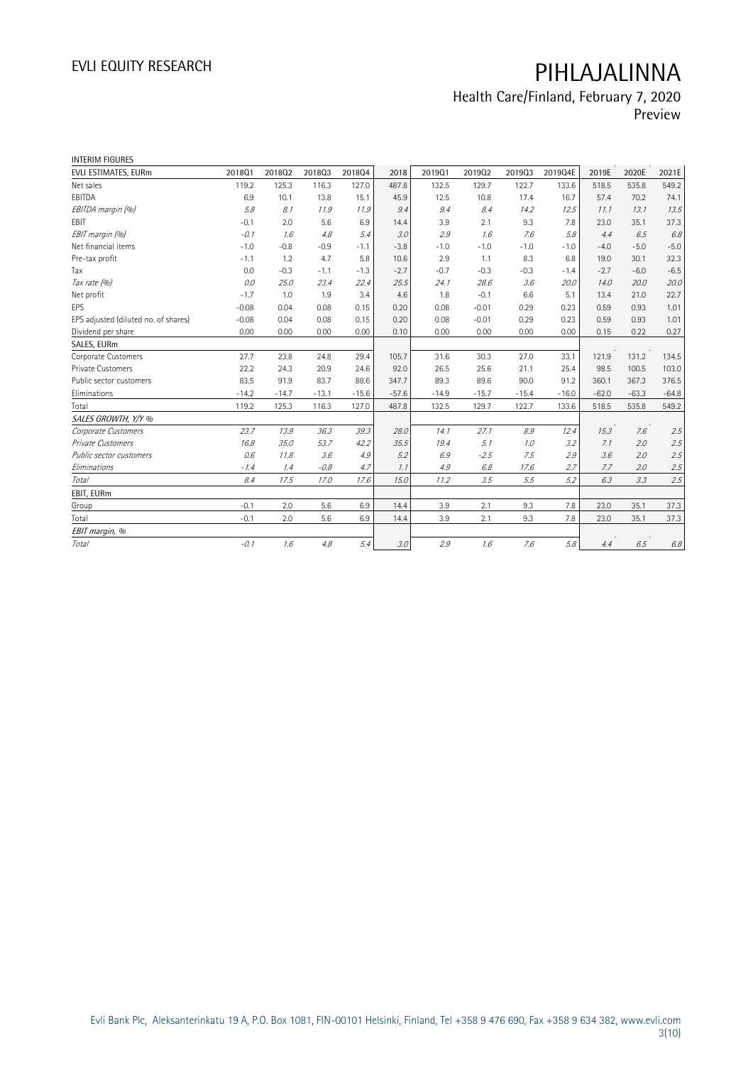## Health Care/Finland, February 7, 2020 Preview

| <b>INTERIM FIGURES</b>               |         |         |         |         |         |         |         |         |         |         |         |         |
|--------------------------------------|---------|---------|---------|---------|---------|---------|---------|---------|---------|---------|---------|---------|
| EVLI ESTIMATES, EURm                 | 201801  | 201802  | 201803  | 201804  | 2018    | 201901  | 201902  | 201903  | 2019Q4E | 2019E   | 2020E   | 2021E   |
| Net sales                            | 119.2   | 125.3   | 116.3   | 127.0   | 487.8   | 132.5   | 129.7   | 122.7   | 133.6   | 518.5   | 535.8   | 549.2   |
| EBITDA                               | 6.9     | 10.1    | 13.8    | 15.1    | 45.9    | 12.5    | 10.8    | 17.4    | 16.7    | 57.4    | 70.2    | 74.1    |
| EBITDA margin (%)                    | 5.8     | 8.1     | 11.9    | 11.9    | 9.4     | 9.4     | 8.4     | 14.2    | 12.5    | 11.1    | 13.1    | 13.5    |
| EBIT                                 | $-0.1$  | 2.0     | 5.6     | 6.9     | 14.4    | 3.9     | 2.1     | 9.3     | 7.8     | 23.0    | 35.1    | 37.3    |
| EBIT margin (%)                      | $-0.1$  | 1.6     | 4.8     | 5.4     | 3.0     | 2.9     | 1.6     | 7.6     | 5.8     | 4.4     | 6.5     | 6.8     |
| Net financial items                  | $-1.0$  | $-0.8$  | $-0.9$  | $-1.1$  | $-3.8$  | $-1.0$  | $-1.0$  | $-1.0$  | $-1.0$  | $-4.0$  | $-5.0$  | $-5.0$  |
| Pre-tax profit                       | $-1.1$  | 1.2     | 4.7     | 5.8     | 10.6    | 2.9     | 1.1     | 8.3     | 6.8     | 19.0    | 30.1    | 32.3    |
| Tax                                  | 0.0     | $-0.3$  | $-1.1$  | $-1.3$  | $-2.7$  | $-0.7$  | $-0.3$  | $-0.3$  | $-1.4$  | $-2.7$  | $-6.0$  | $-6.5$  |
| Tax rate (%)                         | 0.0     | 25.0    | 23.4    | 22.4    | 25.5    | 24.1    | 28.6    | 3.6     | 20.0    | 14.0    | 20.0    | 20.0    |
| Net profit                           | $-1.7$  | 1.0     | 1.9     | 3.4     | 4.6     | 1.8     | $-0.1$  | 6.6     | 5.1     | 13.4    | 21.0    | 22.7    |
| <b>EPS</b>                           | $-0.08$ | 0.04    | 0.08    | 0.15    | 0.20    | 0.08    | $-0.01$ | 0.29    | 0.23    | 0.59    | 0.93    | 1.01    |
| EPS adjusted (diluted no. of shares) | $-0.08$ | 0.04    | 0.08    | 0.15    | 0.20    | 0.08    | $-0.01$ | 0.29    | 0.23    | 0.59    | 0.93    | 1.01    |
| Dividend per share                   | 0.00    | 0.00    | 0.00    | 0.00    | 0.10    | 0.00    | 0.00    | 0.00    | 0.00    | 0.15    | 0.22    | 0.27    |
| SALES, EURm                          |         |         |         |         |         |         |         |         |         |         |         |         |
| Corporate Customers                  | 27.7    | 23.8    | 24.8    | 29.4    | 105.7   | 31.6    | 30.3    | 27.0    | 33.1    | 121.9   | 131.2   | 134.5   |
| Private Customers                    | 22.2    | 24.3    | 20.9    | 24.6    | 92.0    | 26.5    | 25.6    | 21.1    | 25.4    | 98.5    | 100.5   | 103.0   |
| Public sector customers              | 83.5    | 91.9    | 83.7    | 88.6    | 347.7   | 89.3    | 89.6    | 90.0    | 91.2    | 360.1   | 367.3   | 376.5   |
| Eliminations                         | $-14.2$ | $-14.7$ | $-13.1$ | $-15.6$ | $-57.6$ | $-14.9$ | $-15.7$ | $-15.4$ | $-16.0$ | $-62.0$ | $-63.3$ | $-64.8$ |
| Total                                | 119.2   | 125.3   | 116.3   | 127.0   | 487.8   | 132.5   | 129.7   | 122.7   | 133.6   | 518.5   | 535.8   | 549.2   |
| SALES GROWTH, Y/Y %                  |         |         |         |         |         |         |         |         |         |         |         |         |
| Corporate Customers                  | 23.7    | 13.9    | 36.3    | 39.3    | 28.0    | 14.1    | 27.1    | 8.9     | 12.4    | 15.3    | 7.6     | 2.5     |
| Private Customers                    | 16.8    | 35.0    | 53.7    | 42.2    | 35.5    | 19.4    | 5.1     | 1.0     | 3.2     | 7.1     | 2.0     | 2.5     |
| Public sector customers              | 0.6     | 11.8    | 3.6     | 4.9     | 5.2     | 6.9     | $-2.5$  | 7.5     | 2.9     | 3.6     | 2.0     | 2.5     |
| Eliminations                         | $-1.4$  | 1.4     | $-0.8$  | 4.7     | 1.1     | 4.9     | 6.8     | 17.6    | 2.7     | 7.7     | 2.0     | 2.5     |
| Total                                | 8.4     | 17.5    | 17.0    | 17.6    | 15.0    | 11.2    | 3.5     | 5.5     | 5.2     | 6.3     | 3.3     | 2.5     |
| EBIT, EURm                           |         |         |         |         |         |         |         |         |         |         |         |         |
| Group                                | $-0.1$  | 2.0     | 5.6     | 6.9     | 14.4    | 3.9     | 2.1     | 9.3     | 7.8     | 23.0    | 35.1    | 37.3    |
| Total                                | $-0.1$  | 2.0     | 5.6     | 6.9     | 14.4    | 3.9     | 2.1     | 9.3     | 7.8     | 23.0    | 35.1    | 37.3    |
| EBIT margin, %                       |         |         |         |         |         |         |         |         |         |         |         |         |
| Total                                | $-0.1$  | 1.6     | 4.8     | 5.4     | 3.0     | 2.9     | 1.6     | 7.6     | 5.8     | 4.4     | 6.5     | 6.8     |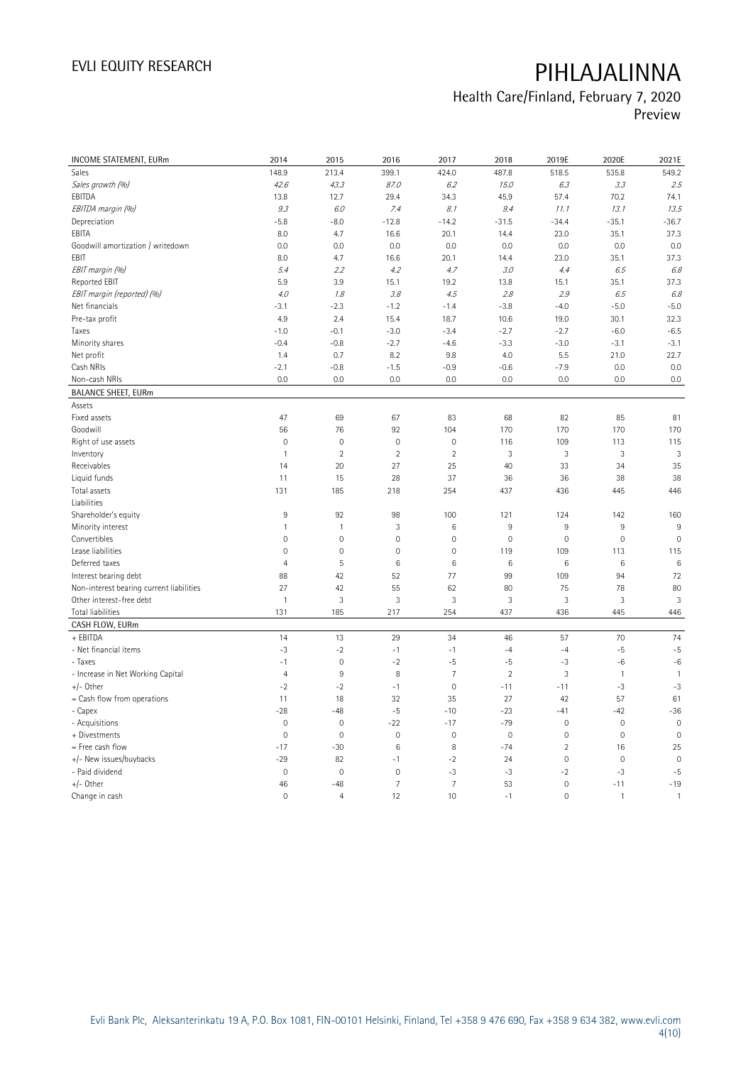## Health Care/Finland, February 7, 2020 Preview

| INCOME STATEMENT, EURm                   | 2014                | 2015                | 2016            | 2017           | 2018           | 2019E          | 2020E        | 2021E          |
|------------------------------------------|---------------------|---------------------|-----------------|----------------|----------------|----------------|--------------|----------------|
| Sales                                    | 148.9               | 213.4               | 399.1           | 424.0          | 487.8          | 518.5          | 535.8        | 549.2          |
| Sales growth (%)                         | 42.6                | 43.3                | 87.0            | 6.2            | 15.0           | 6.3            | 3.3          | 2.5            |
| EBITDA                                   | 13.8                | 12.7                | 29.4            | 34.3           | 45.9           | 57.4           | 70.2         | 74.1           |
| EBITDA margin (%)                        | 9.3                 | 6.0                 | 7.4             | 8.1            | 9.4            | 11.1           | 13.1         | 13.5           |
| Depreciation                             | $-5.8$              | $-8.0$              | $-12.8$         | $-14.2$        | $-31.5$        | $-34.4$        | $-35.1$      | $-36.7$        |
| EBITA                                    | 8.0                 | 4.7                 | 16.6            | 20.1           | 14.4           | 23.0           | 35.1         | 37.3           |
| Goodwill amortization / writedown        | 0.0                 | 0.0                 | 0.0             | 0.0            | 0.0            | 0.0            | 0.0          | 0.0            |
| EBIT                                     | 8.0                 | 4.7                 | 16.6            | 20.1           | 14.4           | 23.0           | 35.1         | 37.3           |
| EBIT margin (%)                          | 5.4                 | 2.2                 | 4.2             | 4.7            | 3.0            | 4.4            | 6.5          | 6.8            |
| Reported EBIT                            | 5.9                 | 3.9                 | 15.1            | 19.2           | 13.8           | 15.1           | 35.1         | 37.3           |
| EBIT margin (reported) (%)               | 4.0                 | 1.8                 | 3.8             | 4.5            | 2.8            | 2.9            | 6.5          | 6.8            |
| Net financials                           | $-3.1$              | $-2.3$              |                 |                |                |                | $-5.0$       |                |
|                                          |                     |                     | $-1.2$          | $-1.4$         | $-3.8$         | $-4.0$         |              | $-5.0$<br>32.3 |
| Pre-tax profit                           | 4.9<br>$-1.0$       | 2.4                 | 15.4            | 18.7           | 10.6           | 19.0           | 30.1         |                |
| Taxes                                    |                     | $-0.1$              | $-3.0$          | $-3.4$         | $-2.7$         | $-2.7$         | $-6.0$       | $-6.5$         |
| Minority shares                          | $-0.4$              | $-0.8$              | $-2.7$          | $-4.6$         | $-3.3$         | $-3.0$         | $-3.1$       | $-3.1$         |
| Net profit                               | 1.4                 | 0.7                 | 8.2             | 9.8            | 4.0            | 5.5            | 21.0         | 22.7           |
| Cash NRIs                                | $-2.1$              | $-0.8$              | $-1.5$          | $-0.9$         | $-0.6$         | $-7.9$         | 0.0          | 0.0            |
| Non-cash NRIs                            | 0.0                 | 0.0                 | 0.0             | 0.0            | 0.0            | 0.0            | 0.0          | 0.0            |
| <b>BALANCE SHEET, EURm</b>               |                     |                     |                 |                |                |                |              |                |
| Assets                                   |                     |                     |                 |                |                |                |              |                |
| Fixed assets                             | 47                  | 69                  | 67              | 83             | 68             | 82             | 85           | 81             |
| Goodwill                                 | 56                  | 76                  | 92              | 104            | 170            | 170            | 170          | 170            |
| Right of use assets                      | $\mathbf 0$         | $\mathsf{O}\xspace$ | $\mathbb O$     | $\circ$        | 116            | 109            | 113          | 115            |
| Inventory                                | $\mathbf{1}$        | $\overline{2}$      | $\overline{2}$  | $\overline{2}$ | 3              | $\mathbf{3}$   | 3            | 3              |
| Receivables                              | 14                  | 20                  | 27              | 25             | 40             | 33             | 34           | 35             |
| Liquid funds                             | 11                  | 15                  | 28              | 37             | 36             | 36             | 38           | 38             |
| Total assets                             | 131                 | 185                 | 218             | 254            | 437            | 436            | 445          | 446            |
| Liabilities                              |                     |                     |                 |                |                |                |              |                |
| Shareholder's equity                     | 9                   | 92                  | 98              | 100            | 121            | 124            | 142          | 160            |
| Minority interest                        | $\mathbf{1}$        | $\mathbf{1}$        | 3               | 6              | 9              | 9              | $9\,$        | 9              |
| Convertibles                             | $\overline{0}$      | $\mathbf 0$         | $\mathbf 0$     | $\mathbf 0$    | $\mathbf 0$    | $\mathbf 0$    | $\mathbf 0$  | $\mathbf 0$    |
| Lease liabilities                        | $\mathsf{O}\xspace$ | $\mathsf{O}\xspace$ | $\mathbb O$     | $\mathbf 0$    | 119            | 109            | 113          | 115            |
| Deferred taxes                           | $\overline{4}$      | 5                   | $6\phantom{1}6$ | $6\,$          | 6              | $\,6$          | 6            | 6              |
| Interest bearing debt                    | 88                  | 42                  | 52              | 77             | 99             | 109            | 94           | 72             |
| Non-interest bearing current liabilities | 27                  | 42                  | 55              | 62             | 80             | 75             | 78           | 80             |
| Other interest-free debt                 | $\overline{1}$      | 3                   | $\mathbf{3}$    | 3              | 3              | $\mathbf{3}$   | 3            | 3              |
| Total liabilities                        | 131                 | 185                 | 217             | 254            | 437            | 436            | 445          | 446            |
| CASH FLOW, EURm                          |                     |                     |                 |                |                |                |              |                |
| + EBITDA                                 | 14                  | 13                  | 29              | 34             | 46             | 57             | 70           | 74             |
| - Net financial items                    | $-3$                | $-2$                | $-1$            | $-1$           | $-4$           | $-4$           | $-5$         | $-5$           |
| - Taxes                                  | $-1$                | $\mathbf 0$         | $-2$            | $-5$           | $-5$           | $-3$           | $-6$         | $-6$           |
| - Increase in Net Working Capital        | $\overline{4}$      | 9                   | 8               | $\overline{7}$ | $\overline{2}$ | $\mathbf{3}$   | $\mathbf{1}$ | $\mathbf{1}$   |
| $+/-$ Other                              | $-2$                | $-2$                | $-1$            | $\mathbf 0$    | $-11$          | $-11$          | $-3$         | $-3$           |
| = Cash flow from operations              | 11                  | 18                  | 32              | 35             | 27             | 42             | 57           | 61             |
| - Capex                                  | $-28$               | $-48$               | $-5$            | $-10$          | $-23$          | $-41$          | $-42$        | $-36$          |
| - Acquisitions                           | $\mathbf 0$         | $\mathbf 0$         | $-22$           | $-17$          | $-79$          | $\mathbf 0$    | $\mathbf 0$  | $\mathbf 0$    |
| + Divestments                            | $\mathbf 0$         | $\mathbf 0$         | $\mathbf 0$     | $\mathbf 0$    | $\mathbf 0$    | $\mathbf 0$    | $\mathbf 0$  | $\mathbf 0$    |
| = Free cash flow                         | $-17$               | $-30$               | $\,6$           | 8              | $-74$          | $\sqrt{2}$     | 16           | 25             |
| +/- New issues/buybacks                  | $-29$               | 82                  | $-1$            | $-2$           | 24             | $\mathbf 0$    | $\mathbf 0$  | $\mathbf 0$    |
| - Paid dividend                          | $\mathbf 0$         | $\mathbf 0$         | $\mathbf 0$     | $-3$           | $-3$           | $-2$           | -3           | $-5$           |
| +/- Other                                | 46                  | $-48$               | $\overline{7}$  | $\overline{7}$ | 53             | $\mathbf 0$    | $-11$        | $-19$          |
| Change in cash                           | $\mathbf 0$         | $\overline{4}$      | 12              | 10             | $-1$           | $\overline{0}$ | $\mathbf{1}$ | $\mathbf{1}$   |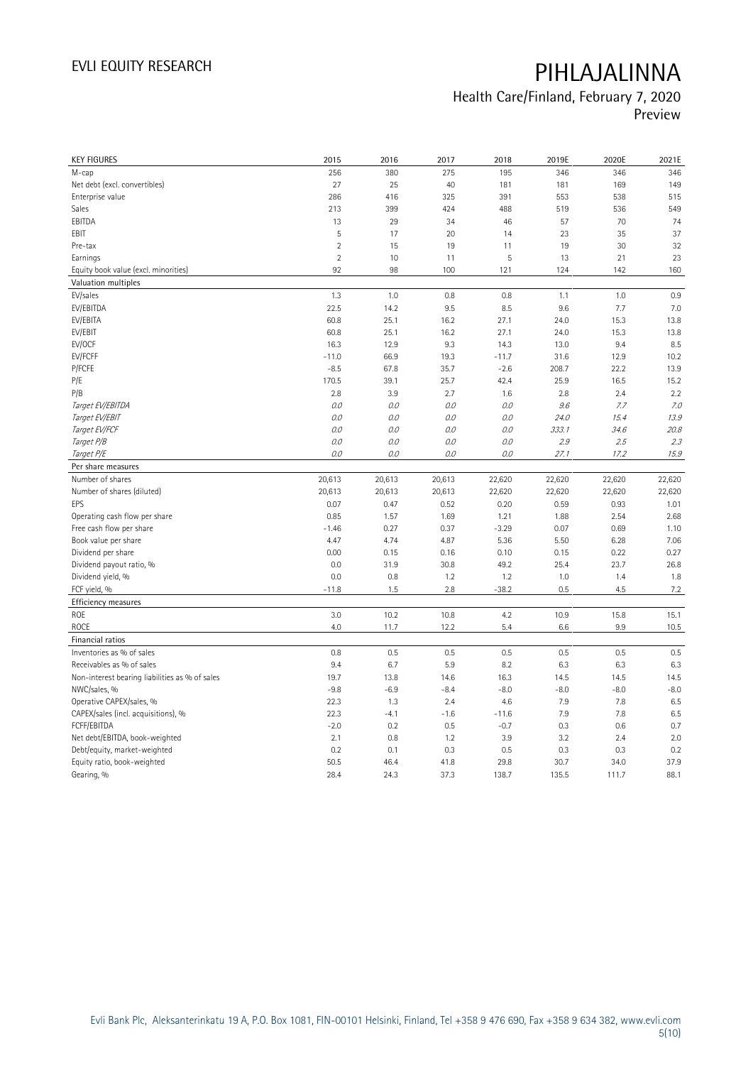## Health Care/Finland, February 7, 2020 Preview

| <b>KEY FIGURES</b>                             | 2015           | 2016    | 2017   | 2018    | 2019E  | 2020E  | 2021E  |
|------------------------------------------------|----------------|---------|--------|---------|--------|--------|--------|
| М-сар                                          | 256            | 380     | 275    | 195     | 346    | 346    | 346    |
| Net debt (excl. convertibles)                  | 27             | 25      | 40     | 181     | 181    | 169    | 149    |
| Enterprise value                               | 286            | 416     | 325    | 391     | 553    | 538    | 515    |
| Sales                                          | 213            | 399     | 424    | 488     | 519    | 536    | 549    |
| EBITDA                                         | 13             | 29      | 34     | 46      | 57     | 70     | 74     |
| EBIT                                           | 5              | 17      | 20     | 14      | 23     | 35     | 37     |
| Pre-tax                                        | $\overline{2}$ | 15      | 19     | 11      | 19     | 30     | 32     |
| Earnings                                       | $\overline{2}$ | 10      | 11     | 5       | 13     | 21     | 23     |
| Equity book value (excl. minorities)           | 92             | 98      | 100    | 121     | 124    | 142    | 160    |
| Valuation multiples                            |                |         |        |         |        |        |        |
| EV/sales                                       | 1.3            | 1.0     | 0.8    | 0.8     | 1.1    | 1.0    | 0.9    |
| EV/EBITDA                                      | 22.5           | 14.2    | 9.5    | 8.5     | 9.6    | 7.7    | 7.0    |
| EV/EBITA                                       | 60.8           | 25.1    | 16.2   | 27.1    | 24.0   | 15.3   | 13.8   |
| EV/EBIT                                        | 60.8           | 25.1    | 16.2   | 27.1    | 24.0   | 15.3   | 13.8   |
| EV/OCF                                         | 16.3           | 12.9    | 9.3    | 14.3    | 13.0   | 9.4    | 8.5    |
| EV/FCFF                                        | $-11.0$        | 66.9    | 19.3   | $-11.7$ | 31.6   | 12.9   | 10.2   |
| P/FCFE                                         | $-8.5$         | 67.8    | 35.7   | $-2.6$  | 208.7  | 22.2   | 13.9   |
| P/E                                            | 170.5          | 39.1    | 25.7   | 42.4    | 25.9   | 16.5   | 15.2   |
| P/B                                            | 2.8            | 3.9     | 2.7    | 1.6     | 2.8    | 2.4    | 2.2    |
| Target EV/EBITDA                               | $0.0$          | $O.O$   | 0.0    | $O.O$   | 9.6    | 7.7    | 7.0    |
| Target EV/EBIT                                 | O.O            | 0.0     | 0.0    | $O.O$   | 24.0   | 15.4   | 13.9   |
| Target EV/FCF                                  | O.O            | $0.0\,$ | 0.0    | $O.O$   | 333.1  | 34.6   | 20.8   |
| Target P/B                                     | $0.0\,$        | $O.O$   | 0.0    | $O.O$   | 2.9    | 2.5    | 2.3    |
| Target P/E                                     | O.O            | 0.0     | 0.0    | 0.0     | 27.1   | 17.2   | 15.9   |
| Per share measures                             |                |         |        |         |        |        |        |
| Number of shares                               | 20,613         | 20,613  | 20,613 | 22,620  | 22,620 | 22,620 | 22,620 |
| Number of shares (diluted)                     | 20,613         | 20,613  | 20,613 | 22,620  | 22,620 | 22,620 | 22,620 |
| EPS                                            | 0.07           | 0.47    | 0.52   | 0.20    | 0.59   | 0.93   | 1.01   |
| Operating cash flow per share                  | 0.85           | 1.57    | 1.69   | 1.21    | 1.88   | 2.54   | 2.68   |
| Free cash flow per share                       | $-1.46$        | 0.27    | 0.37   | $-3.29$ | 0.07   | 0.69   | 1.10   |
| Book value per share                           | 4.47           | 4.74    | 4.87   | 5.36    | 5.50   | 6.28   | 7.06   |
| Dividend per share                             | 0.00           | 0.15    | 0.16   | 0.10    | 0.15   | 0.22   | 0.27   |
| Dividend payout ratio, %                       | 0.0            | 31.9    | 30.8   | 49.2    | 25.4   | 23.7   | 26.8   |
| Dividend yield, %                              | 0.0            | 0.8     | 1.2    | 1.2     | 1.0    | 1.4    | 1.8    |
| FCF yield, %                                   | $-11.8$        | 1.5     | 2.8    | $-38.2$ | 0.5    | 4.5    | 7.2    |
| Efficiency measures                            |                |         |        |         |        |        |        |
| ROE                                            | 3.0            | 10.2    | 10.8   | 4.2     | 10.9   | 15.8   | 15.1   |
| <b>ROCE</b>                                    | 4.0            | 11.7    | 12.2   | 5.4     | 6.6    | 9.9    | 10.5   |
| Financial ratios                               |                |         |        |         |        |        |        |
| Inventories as % of sales                      | 0.8            | 0.5     | 0.5    | 0.5     | 0.5    | 0.5    | 0.5    |
| Receivables as % of sales                      | 9.4            | 6.7     | 5.9    | 8.2     | 6.3    | 6.3    | 6.3    |
| Non-interest bearing liabilities as % of sales | 19.7           | 13.8    | 14.6   | 16.3    | 14.5   | 14.5   | 14.5   |
| NWC/sales, %                                   | $-9.8$         | $-6.9$  | $-8.4$ | $-8.0$  | $-8.0$ | $-8.0$ | $-8.0$ |
| Operative CAPEX/sales, %                       | 22.3           | 1.3     | 2.4    | 4.6     | 7.9    | 7.8    | 6.5    |
| CAPEX/sales (incl. acquisitions), %            | 22.3           | $-4.1$  | $-1.6$ | $-11.6$ | 7.9    | 7.8    | 6.5    |
| FCFF/EBITDA                                    | $-2.0$         | 0.2     | 0.5    | $-0.7$  | 0.3    | 0.6    | 0.7    |
| Net debt/EBITDA, book-weighted                 | 2.1            | 0.8     | 1.2    | 3.9     | 3.2    | 2.4    | 2.0    |
| Debt/equity, market-weighted                   | 0.2            | 0.1     | 0.3    | 0.5     | 0.3    | 0.3    | 0.2    |
| Equity ratio, book-weighted                    | 50.5           | 46.4    | 41.8   | 29.8    | 30.7   | 34.0   | 37.9   |
|                                                |                |         |        |         |        |        |        |
| Gearing, %                                     | 28.4           | 24.3    | 37.3   | 138.7   | 135.5  | 111.7  | 88.1   |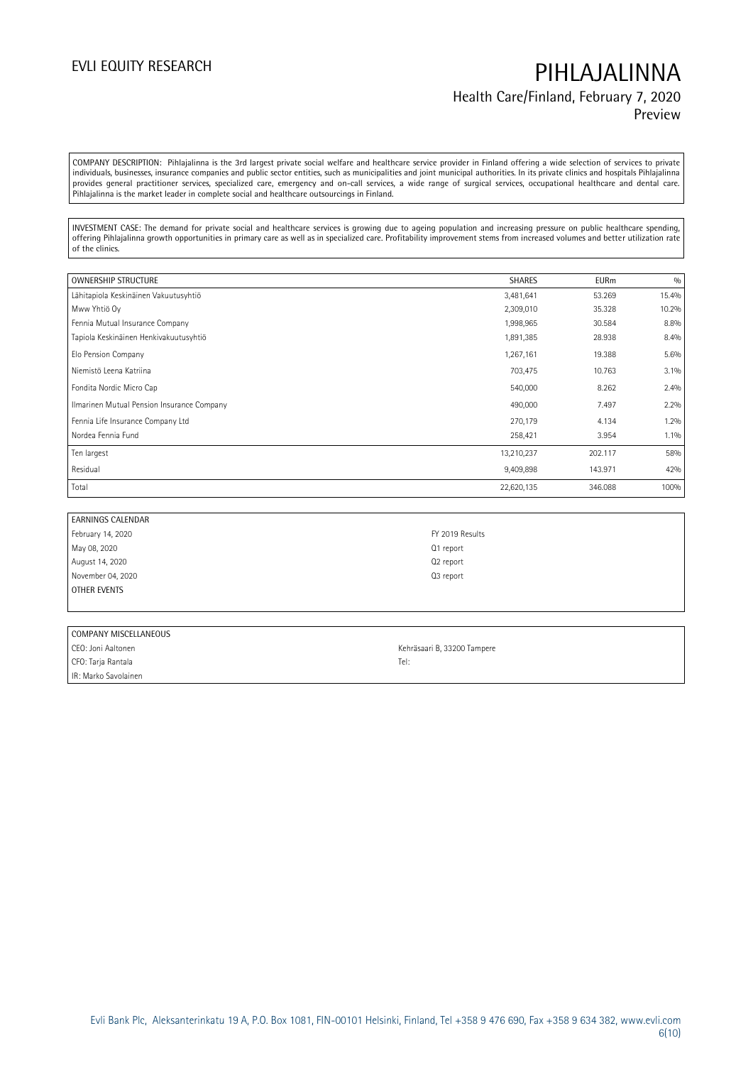## EVLI EQUITY RESEARCH **PIHLAJALINNA** Health Care/Finland, February 7, 2020 Preview

COMPANY DESCRIPTION: Pihlajalinna is the 3rd largest private social welfare and healthcare service provider in Finland offering a wide selection of services to private individuals, businesses, insurance companies and public sector entities, such as municipalities and joint municipal authorities. In its private clinics and hospitals Pihlajalinna provides general practitioner services, specialized care, emergency and on-call services, a wide range of surgical services, occupational healthcare and dental care. Pihlajalinna is the market leader in complete social and healthcare outsourcings in Finland.

INVESTMENT CASE: The demand for private social and healthcare services is growing due to ageing population and increasing pressure on public healthcare spending, offering Pihlajalinna growth opportunities in primary care as well as in specialized care. Profitability improvement stems from increased volumes and better utilization rate of the clinics.

| <b>OWNERSHIP STRUCTURE</b>                 | <b>SHARES</b> | <b>EURm</b> | 0/0   |
|--------------------------------------------|---------------|-------------|-------|
| Lähitapiola Keskinäinen Vakuutusyhtiö      | 3,481,641     | 53.269      | 15.4% |
| Mww Yhtiö Oy                               | 2,309,010     | 35.328      | 10.2% |
| Fennia Mutual Insurance Company            | 1,998,965     | 30.584      | 8.8%  |
| Tapiola Keskinäinen Henkivakuutusyhtiö     | 1,891,385     | 28.938      | 8.4%  |
| Elo Pension Company                        | 1,267,161     | 19.388      | 5.6%  |
| Niemistö Leena Katriina                    | 703,475       | 10.763      | 3.1%  |
| Fondita Nordic Micro Cap                   | 540,000       | 8.262       | 2.4%  |
| Ilmarinen Mutual Pension Insurance Company | 490,000       | 7.497       | 2.2%  |
| Fennia Life Insurance Company Ltd          | 270,179       | 4.134       | 1.2%  |
| Nordea Fennia Fund                         | 258,421       | 3.954       | 1.1%  |
| Ten largest                                | 13,210,237    | 202.117     | 58%   |
| Residual                                   | 9,409,898     | 143.971     | 42%   |
| Total                                      | 22,620,135    | 346.088     | 100%  |

| EARNINGS CALENDAR |                       |
|-------------------|-----------------------|
| February 14, 2020 | FY 2019 Results       |
| May 08, 2020      | Q1 report             |
| August 14, 2020   | Q <sub>2</sub> report |
| November 04, 2020 | Q <sub>3</sub> report |
| OTHER EVENTS      |                       |

| COMPANY MISCELLANEOUS |                             |  |  |  |  |  |
|-----------------------|-----------------------------|--|--|--|--|--|
| CEO: Joni Aaltonen    | Kehräsaari B, 33200 Tampere |  |  |  |  |  |
| CFO: Tarja Rantala    | Tel:                        |  |  |  |  |  |
| IR: Marko Savolainen  |                             |  |  |  |  |  |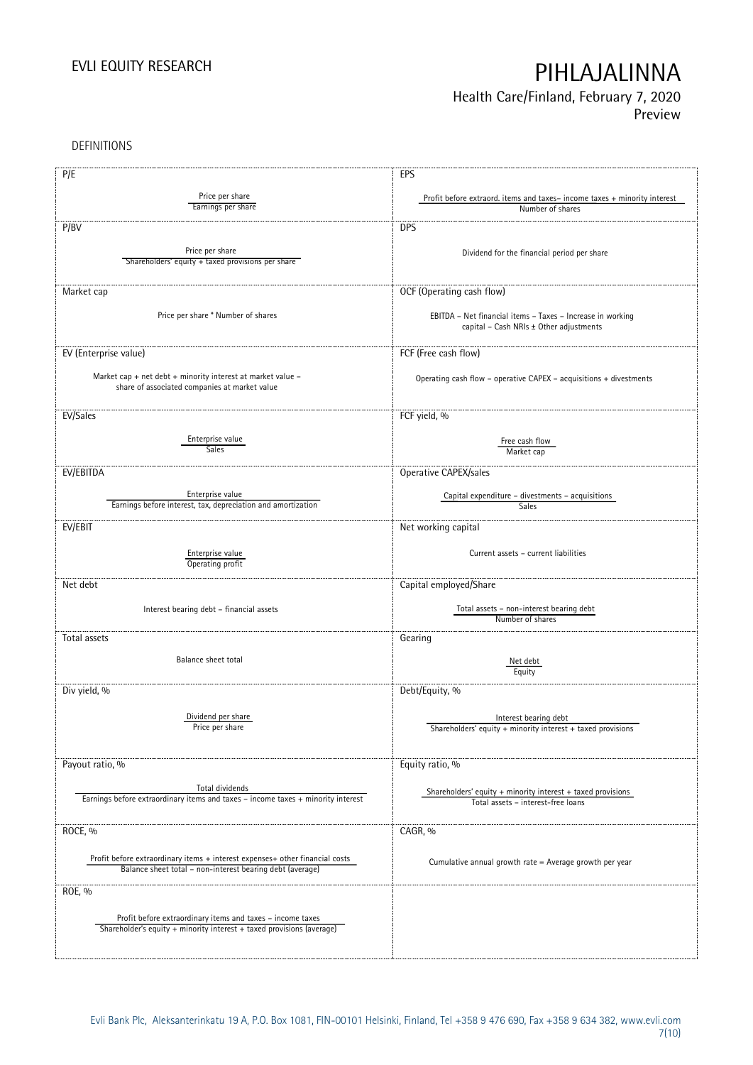## Health Care/Finland, February 7, 2020 Preview

DEFINITIONS

| P/E                                                                                                                                       | EPS                                                                                                   |
|-------------------------------------------------------------------------------------------------------------------------------------------|-------------------------------------------------------------------------------------------------------|
|                                                                                                                                           |                                                                                                       |
| Price per share<br>Earnings per share                                                                                                     | Profit before extraord. items and taxes-income taxes + minority interest<br>Number of shares          |
|                                                                                                                                           |                                                                                                       |
| P/BV                                                                                                                                      | <b>DPS</b>                                                                                            |
|                                                                                                                                           |                                                                                                       |
| Price per share                                                                                                                           | Dividend for the financial period per share                                                           |
| Shareholders' equity + taxed provisions per share                                                                                         |                                                                                                       |
|                                                                                                                                           |                                                                                                       |
| Market cap                                                                                                                                | OCF (Operating cash flow)                                                                             |
|                                                                                                                                           |                                                                                                       |
| Price per share * Number of shares                                                                                                        | EBITDA - Net financial items - Taxes - Increase in working<br>capital - Cash NRIs ± Other adjustments |
|                                                                                                                                           |                                                                                                       |
| EV (Enterprise value)                                                                                                                     | FCF (Free cash flow)                                                                                  |
|                                                                                                                                           |                                                                                                       |
| Market cap + net debt + minority interest at market value -                                                                               | Operating cash flow - operative CAPEX - acquisitions + divestments                                    |
| share of associated companies at market value                                                                                             |                                                                                                       |
|                                                                                                                                           |                                                                                                       |
| EV/Sales                                                                                                                                  | FCF yield, %                                                                                          |
|                                                                                                                                           |                                                                                                       |
| Enterprise value                                                                                                                          | Free cash flow                                                                                        |
| <b>Sales</b>                                                                                                                              | Market cap                                                                                            |
| EV/EBITDA                                                                                                                                 | Operative CAPEX/sales                                                                                 |
|                                                                                                                                           |                                                                                                       |
| Enterprise value                                                                                                                          | Capital expenditure - divestments - acquisitions                                                      |
| Earnings before interest, tax, depreciation and amortization                                                                              | <b>Sales</b>                                                                                          |
| EV/EBIT                                                                                                                                   | Net working capital                                                                                   |
|                                                                                                                                           |                                                                                                       |
| Enterprise value                                                                                                                          | Current assets - current liabilities                                                                  |
| Operating profit                                                                                                                          |                                                                                                       |
| Net debt                                                                                                                                  | Capital employed/Share                                                                                |
|                                                                                                                                           |                                                                                                       |
| Interest bearing debt - financial assets                                                                                                  | Total assets - non-interest bearing debt                                                              |
|                                                                                                                                           | Number of shares                                                                                      |
| Total assets                                                                                                                              | Gearing                                                                                               |
|                                                                                                                                           |                                                                                                       |
| Balance sheet total                                                                                                                       | Net debt                                                                                              |
|                                                                                                                                           | Equity                                                                                                |
| Div yield, %                                                                                                                              | Debt/Equity, %                                                                                        |
|                                                                                                                                           |                                                                                                       |
| Dividend per share                                                                                                                        | Interest bearing debt                                                                                 |
| Price per snare                                                                                                                           | Shareholders' equity $+$ minority interest $+$ taxed provisions                                       |
|                                                                                                                                           |                                                                                                       |
|                                                                                                                                           |                                                                                                       |
| Payout ratio, %                                                                                                                           | Equity ratio, %                                                                                       |
| Total dividends                                                                                                                           |                                                                                                       |
| Earnings before extraordinary items and taxes - income taxes + minority interest                                                          | Shareholders' equity + minority interest + taxed provisions                                           |
|                                                                                                                                           | Total assets - interest-free loans                                                                    |
|                                                                                                                                           |                                                                                                       |
| ROCE, %                                                                                                                                   | CAGR, %                                                                                               |
|                                                                                                                                           |                                                                                                       |
| Profit before extraordinary items + interest expenses+ other financial costs<br>Balance sheet total - non-interest bearing debt (average) | Cumulative annual growth rate = Average growth per year                                               |
|                                                                                                                                           |                                                                                                       |
| ROE, %                                                                                                                                    |                                                                                                       |
|                                                                                                                                           |                                                                                                       |
| Profit before extraordinary items and taxes - income taxes                                                                                |                                                                                                       |
| Shareholder's equity + minority interest + taxed provisions (average)                                                                     |                                                                                                       |
|                                                                                                                                           |                                                                                                       |
|                                                                                                                                           |                                                                                                       |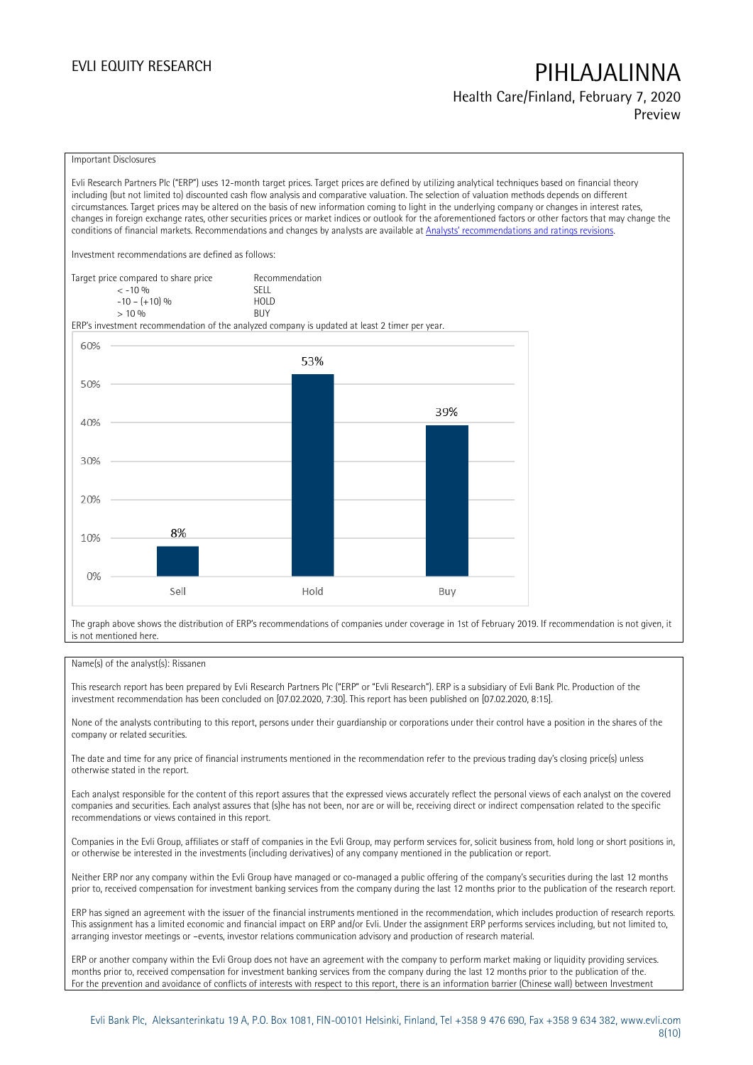Health Care/Finland, February 7, 2020 Preview

### Important Disclosures

Evli Research Partners Plc ("ERP") uses 12-month target prices. Target prices are defined by utilizing analytical techniques based on financial theory including (but not limited to) discounted cash flow analysis and comparative valuation. The selection of valuation methods depends on different circumstances. Target prices may be altered on the basis of new information coming to light in the underlying company or changes in interest rates, changes in foreign exchange rates, other securities prices or market indices or outlook for the aforementioned factors or other factors that may change the conditions of financial markets. Recommendations and changes by analysts are available at [Analysts' recommendations and ratings revisions](https://research.evli.com/JasperAllModels.action?authParam=key;461&authParam=x;G3rNagWrtf7K&authType=3).

Investment recommendations are defined as follows:

| Target price compared to share price | Recommendation                |
|--------------------------------------|-------------------------------|
| $<-10.96$                            | <b>SELL</b>                   |
| $-10 - (+10)$ %                      | H <sub>O</sub> I <sub>D</sub> |
| $> 10\%$                             | <b>BUY</b>                    |

ERP's investment recommendation of the analyzed company is updated at least 2 timer per year.



The graph above shows the distribution of ERP's recommendations of companies under coverage in 1st of February 2019. If recommendation is not given, it is not mentioned here.

### Name(s) of the analyst(s): Rissanen

This research report has been prepared by Evli Research Partners Plc ("ERP" or "Evli Research"). ERP is a subsidiary of Evli Bank Plc. Production of the investment recommendation has been concluded on [07.02.2020, 7:30]. This report has been published on [07.02.2020, 8:15].

None of the analysts contributing to this report, persons under their guardianship or corporations under their control have a position in the shares of the company or related securities.

The date and time for any price of financial instruments mentioned in the recommendation refer to the previous trading day's closing price(s) unless otherwise stated in the report.

Each analyst responsible for the content of this report assures that the expressed views accurately reflect the personal views of each analyst on the covered companies and securities. Each analyst assures that (s)he has not been, nor are or will be, receiving direct or indirect compensation related to the specific recommendations or views contained in this report.

Companies in the Evli Group, affiliates or staff of companies in the Evli Group, may perform services for, solicit business from, hold long or short positions in, or otherwise be interested in the investments (including derivatives) of any company mentioned in the publication or report.

Neither ERP nor any company within the Evli Group have managed or co-managed a public offering of the company's securities during the last 12 months prior to, received compensation for investment banking services from the company during the last 12 months prior to the publication of the research report.

ERP has signed an agreement with the issuer of the financial instruments mentioned in the recommendation, which includes production of research reports. This assignment has a limited economic and financial impact on ERP and/or Evli. Under the assignment ERP performs services including, but not limited to, arranging investor meetings or –events, investor relations communication advisory and production of research material.

ERP or another company within the Evli Group does not have an agreement with the company to perform market making or liquidity providing services. months prior to, received compensation for investment banking services from the company during the last 12 months prior to the publication of the. For the prevention and avoidance of conflicts of interests with respect to this report, there is an information barrier (Chinese wall) between Investment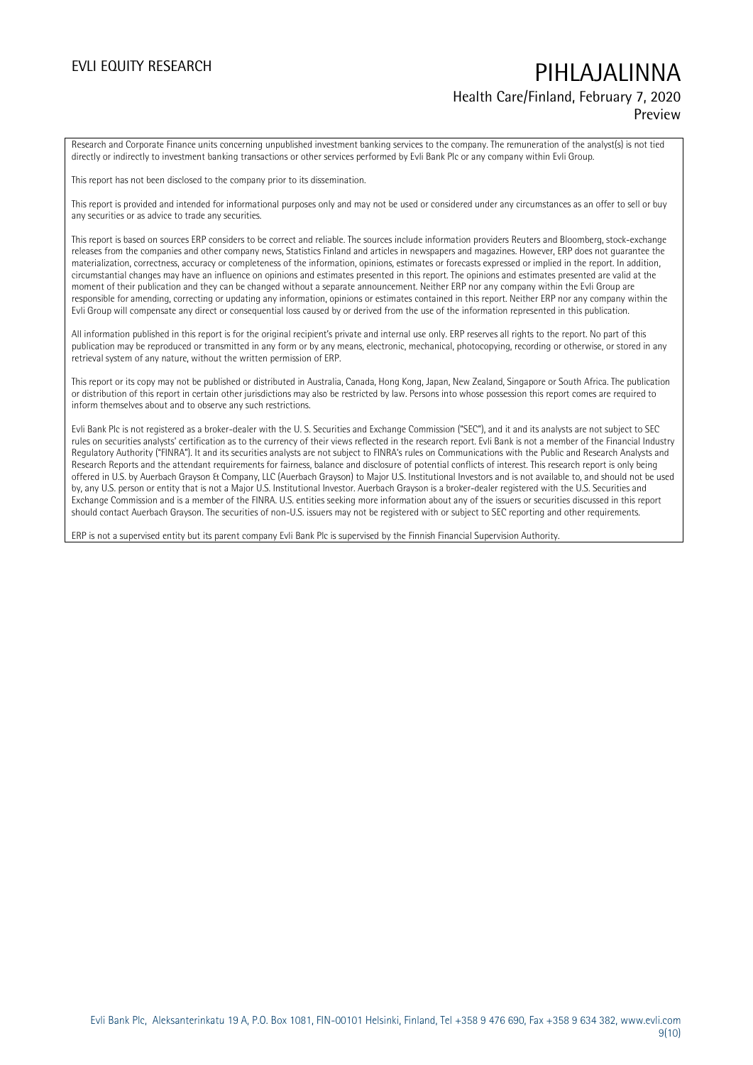## EVLI EQUITY RESEARCH **PIHLAJALINNA** Health Care/Finland, February 7, 2020

### Preview

Research and Corporate Finance units concerning unpublished investment banking services to the company. The remuneration of the analyst(s) is not tied directly or indirectly to investment banking transactions or other services performed by Evli Bank Plc or any company within Evli Group.

This report has not been disclosed to the company prior to its dissemination.

This report is provided and intended for informational purposes only and may not be used or considered under any circumstances as an offer to sell or buy any securities or as advice to trade any securities.

This report is based on sources ERP considers to be correct and reliable. The sources include information providers Reuters and Bloomberg, stock-exchange releases from the companies and other company news, Statistics Finland and articles in newspapers and magazines. However, ERP does not guarantee the materialization, correctness, accuracy or completeness of the information, opinions, estimates or forecasts expressed or implied in the report. In addition, circumstantial changes may have an influence on opinions and estimates presented in this report. The opinions and estimates presented are valid at the moment of their publication and they can be changed without a separate announcement. Neither ERP nor any company within the Evli Group are responsible for amending, correcting or updating any information, opinions or estimates contained in this report. Neither ERP nor any company within the Evli Group will compensate any direct or consequential loss caused by or derived from the use of the information represented in this publication.

All information published in this report is for the original recipient's private and internal use only. ERP reserves all rights to the report. No part of this publication may be reproduced or transmitted in any form or by any means, electronic, mechanical, photocopying, recording or otherwise, or stored in any retrieval system of any nature, without the written permission of ERP.

This report or its copy may not be published or distributed in Australia, Canada, Hong Kong, Japan, New Zealand, Singapore or South Africa. The publication or distribution of this report in certain other jurisdictions may also be restricted by law. Persons into whose possession this report comes are required to inform themselves about and to observe any such restrictions.

Evli Bank Plc is not registered as a broker-dealer with the U. S. Securities and Exchange Commission ("SEC"), and it and its analysts are not subject to SEC rules on securities analysts' certification as to the currency of their views reflected in the research report. Evli Bank is not a member of the Financial Industry Regulatory Authority ("FINRA"). It and its securities analysts are not subject to FINRA's rules on Communications with the Public and Research Analysts and Research Reports and the attendant requirements for fairness, balance and disclosure of potential conflicts of interest. This research report is only being offered in U.S. by Auerbach Grayson & Company, LLC (Auerbach Grayson) to Major U.S. Institutional Investors and is not available to, and should not be used by, any U.S. person or entity that is not a Major U.S. Institutional Investor. Auerbach Grayson is a broker-dealer registered with the U.S. Securities and Exchange Commission and is a member of the FINRA. U.S. entities seeking more information about any of the issuers or securities discussed in this report should contact Auerbach Grayson. The securities of non-U.S. issuers may not be registered with or subject to SEC reporting and other requirements.

ERP is not a supervised entity but its parent company Evli Bank Plc is supervised by the Finnish Financial Supervision Authority.